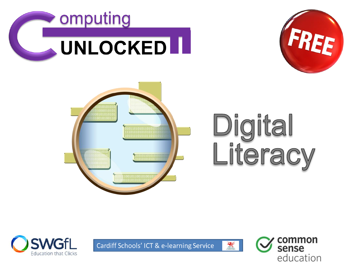



Cardiff Schools' ICT & e-learning Service



NE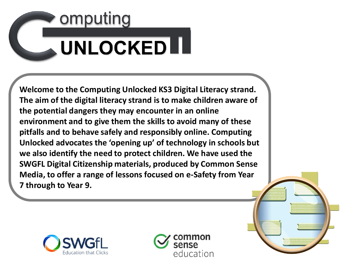# omputing **UNLOCKED II**

**Welcome to the Computing Unlocked KS3 Digital Literacy strand. The aim of the digital literacy strand is to make children aware of the potential dangers they may encounter in an online environment and to give them the skills to avoid many of these pitfalls and to behave safely and responsibly online. Computing Unlocked advocates the 'opening up' of technology in schools but we also identify the need to protect children. We have used the SWGFL Digital Citizenship materials, produced by Common Sense Media, to offer a range of lessons focused on e-Safety from Year 7 through to Year 9.** 



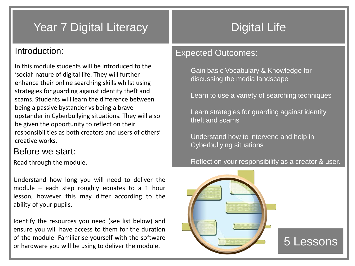# Year 7 Digital Literacy Near 7 Digital Life

#### Introduction:

In this module students will be introduced to the 'social' nature of digital life. They will further enhance their online searching skills whilst using strategies for guarding against identity theft and scams. Students will learn the difference between being a passive bystander vs being a brave upstander in Cyberbullying situations. They will also be given the opportunity to reflect on their responsibilities as both creators and users of others' creative works.

#### Before we start:

Read through the module.

Understand how long you will need to deliver the module – each step roughly equates to a 1 hour lesson, however this may differ according to the ability of your pupils.

Identify the resources you need (see list below) and ensure you will have access to them for the duration of the module. Familiarise yourself with the software or hardware you will be using to deliver the module.

#### Expected Outcomes:

Gain basic Vocabulary & Knowledge for discussing the media landscape

Learn to use a variety of searching techniques

Learn strategies for guarding against identity theft and scams

Understand how to intervene and help in Cyberbullying situations

#### Reflect on your responsibility as a creator & user.

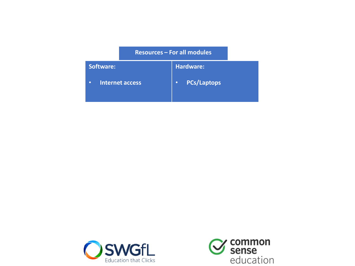#### **Resources – For all modules**

| Software:                           | Hardware:          |
|-------------------------------------|--------------------|
| <b>Internet access</b><br>$\bullet$ | <b>PCs/Laptops</b> |



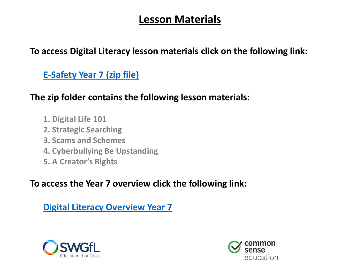# **Lesson Materials**

#### **To access Digital Literacy lesson materials click on the following link:**

**[E-Safety Year 7 \(zip file\)](https://107896963-821535393513469687.preview.editmysite.com/uploads/1/0/7/8/107896963/3._esafety[7].zip)**

#### **The zip folder contains the following lesson materials:**

- **1. Digital Life 101**
- **2. Strategic Searching**
- **3. Scams and Schemes**
- **4. Cyberbullying Be Upstanding**
- **5. A Creator's Rights**

#### **To access the Year 7 overview click the following link:**

# **[Digital Literacy Overview Year 7](https://107896963-821535393513469687.preview.editmysite.com/uploads/1/0/7/8/107896963/digital_literacy_year_7_overview.pdf)**



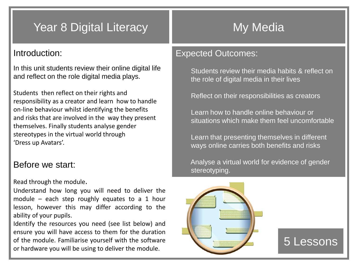# Year 8 Digital Literacy Nemat State My Media

#### Introduction:

In this unit students review their online digital life and reflect on the role digital media plays.

Students then reflect on their rights and responsibility as a creator and learn how to handle on-line behaviour whilst identifying the benefits and risks that are involved in the way they present themselves. Finally students analyse gender stereotypes in the virtual world through 'Dress up Avatars'.

#### Before we start:

#### Read through the module.

Understand how long you will need to deliver the module – each step roughly equates to a 1 hour lesson, however this may differ according to the ability of your pupils.

Identify the resources you need (see list below) and ensure you will have access to them for the duration of the module. Familiarise yourself with the software or hardware you will be using to deliver the module.

#### Expected Outcomes:

Students review their media habits & reflect on the role of digital media in their lives

Reflect on their responsibilities as creators

Learn how to handle online behaviour or situations which make them feel uncomfortable

Learn that presenting themselves in different ways online carries both benefits and risks

Analyse a virtual world for evidence of gender stereotyping.

5 Lessons

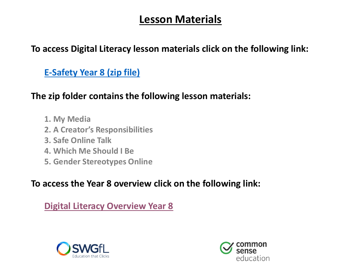# **Lesson Materials**

#### **To access Digital Literacy lesson materials click on the following link:**

**[E-Safety Year 8 \(zip file\)](https://107896963-821535393513469687.preview.editmysite.com/uploads/1/0/7/8/107896963/5._esafety_[5]_year_8.zip)**

### **The zip folder contains the following lesson materials:**

- **1. My Media**
- **2. A Creator's Responsibilities**
- **3. Safe Online Talk**
- **4. Which Me Should I Be**
- **5. Gender Stereotypes Online**

### **To access the Year 8 overview click on the following link:**

### **[Digital Literacy Overview Year 8](https://107896963-821535393513469687.preview.editmysite.com/uploads/1/0/7/8/107896963/digital_literacy_year_8_overview.pdf)**



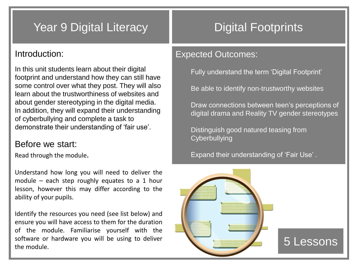# Year 9 Digital Literacy **No. 2018** Digital Footprints

#### Introduction:

In this unit students learn about their digital footprint and understand how they can still have some control over what they post. They will also learn about the trustworthiness of websites and about gender stereotyping in the digital media. In addition, they will expand their understanding of cyberbullying and complete a task to demonstrate their understanding of 'fair use'.

#### Before we start:

Read through the module.

Understand how long you will need to deliver the module – each step roughly equates to a 1 hour lesson, however this may differ according to the ability of your pupils.

Identify the resources you need (see list below) and ensure you will have access to them for the duration of the module. Familiarise yourself with the software or hardware you will be using to deliver the module.

#### Expected Outcomes:

Fully understand the term 'Digital Footprint'

Be able to identify non-trustworthy websites

Draw connections between teen's perceptions of digital drama and Reality TV gender stereotypes

Distinguish good natured teasing from **Cyberbullying** 

Expand their understanding of 'Fair Use' .